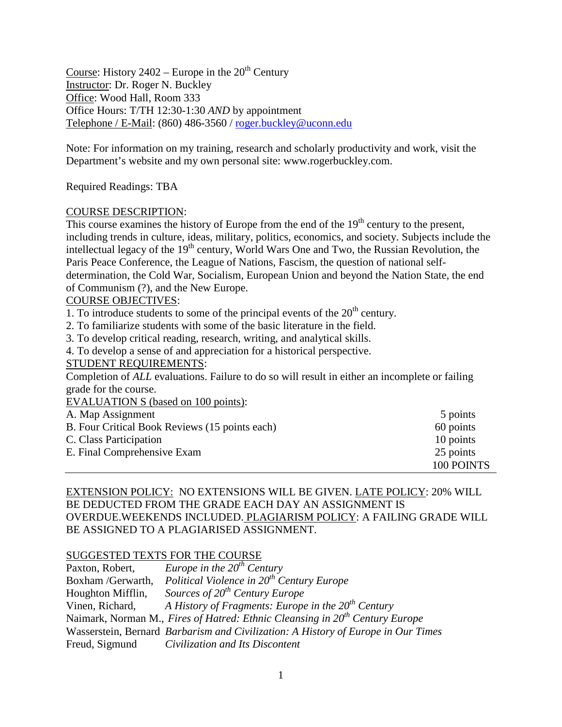Course: History  $2402$  – Europe in the  $20<sup>th</sup>$  Century Instructor: Dr. Roger N. Buckley Office: Wood Hall, Room 333 Office Hours: T/TH 12:30-1:30 *AND* by appointment Telephone / E-Mail: (860) 486-3560 / [roger.buckley@uconn.edu](mailto:roger.buckley@uconn.edu)

Note: For information on my training, research and scholarly productivity and work, visit the Department's website and my own personal site: www.rogerbuckley.com.

Required Readings: TBA

# COURSE DESCRIPTION:

This course examines the history of Europe from the end of the  $19<sup>th</sup>$  century to the present, including trends in culture, ideas, military, politics, economics, and society. Subjects include the intellectual legacy of the 19<sup>th</sup> century, World Wars One and Two, the Russian Revolution, the Paris Peace Conference, the League of Nations, Fascism, the question of national selfdetermination, the Cold War, Socialism, European Union and beyond the Nation State, the end of Communism (?), and the New Europe.

# COURSE OBJECTIVES:

1. To introduce students to some of the principal events of the  $20<sup>th</sup>$  century.

- 2. To familiarize students with some of the basic literature in the field.
- 3. To develop critical reading, research, writing, and analytical skills.

4. To develop a sense of and appreciation for a historical perspective.

## STUDENT REQUIREMENTS:

Completion of *ALL* evaluations. Failure to do so will result in either an incomplete or failing grade for the course.

EVALUATION S (based on 100 points):

| A. Map Assignment                              | 5 points   |
|------------------------------------------------|------------|
| B. Four Critical Book Reviews (15 points each) | 60 points  |
| C. Class Participation                         | 10 points  |
| E. Final Comprehensive Exam                    | 25 points  |
|                                                | 100 POINTS |

# EXTENSION POLICY: NO EXTENSIONS WILL BE GIVEN. LATE POLICY: 20% WILL BE DEDUCTED FROM THE GRADE EACH DAY AN ASSIGNMENT IS OVERDUE.WEEKENDS INCLUDED. PLAGIARISM POLICY: A FAILING GRADE WILL BE ASSIGNED TO A PLAGIARISED ASSIGNMENT.

# SUGGESTED TEXTS FOR THE COURSE

| Paxton, Robert,   | Europe in the $20^{th}$ Century                                                   |
|-------------------|-----------------------------------------------------------------------------------|
| Boxham /Gerwarth, | Political Violence in $20^{th}$ Century Europe                                    |
| Houghton Mifflin, | Sources of $20^{th}$ Century Europe                                               |
| Vinen, Richard,   | A History of Fragments: Europe in the $20th$ Century                              |
|                   | Naimark, Norman M., Fires of Hatred: Ethnic Cleansing in $20th$ Century Europe    |
|                   | Wasserstein, Bernard Barbarism and Civilization: A History of Europe in Our Times |
| Freud, Sigmund    | Civilization and Its Discontent                                                   |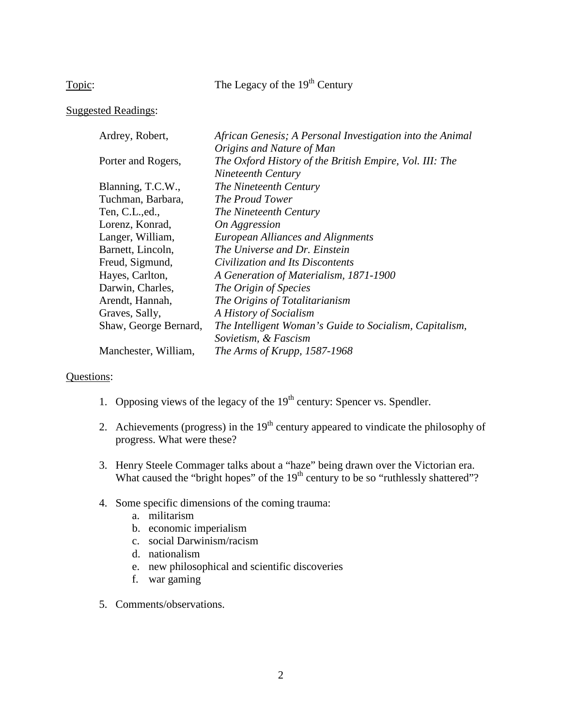Topic: The Legacy of the 19<sup>th</sup> Century

# Suggested Readings:

| Ardrey, Robert,       | African Genesis; A Personal Investigation into the Animal |
|-----------------------|-----------------------------------------------------------|
|                       | Origins and Nature of Man                                 |
| Porter and Rogers,    | The Oxford History of the British Empire, Vol. III: The   |
|                       | Nineteenth Century                                        |
| Blanning, T.C.W.,     | The Nineteenth Century                                    |
| Tuchman, Barbara,     | The Proud Tower                                           |
| Ten, C.L., ed.,       | The Nineteenth Century                                    |
| Lorenz, Konrad,       | On Aggression                                             |
| Langer, William,      | <b>European Alliances and Alignments</b>                  |
| Barnett, Lincoln,     | The Universe and Dr. Einstein                             |
| Freud, Sigmund,       | Civilization and Its Discontents                          |
| Hayes, Carlton,       | A Generation of Materialism, 1871-1900                    |
| Darwin, Charles,      | The Origin of Species                                     |
| Arendt, Hannah,       | The Origins of Totalitarianism                            |
| Graves, Sally,        | A History of Socialism                                    |
| Shaw, George Bernard, | The Intelligent Woman's Guide to Socialism, Capitalism,   |
|                       | Sovietism, & Fascism                                      |
| Manchester, William,  | The Arms of Krupp, 1587-1968                              |
|                       |                                                           |

- 1. Opposing views of the legacy of the  $19<sup>th</sup>$  century: Spencer vs. Spendler.
- 2. Achievements (progress) in the  $19<sup>th</sup>$  century appeared to vindicate the philosophy of progress. What were these?
- 3. Henry Steele Commager talks about a "haze" being drawn over the Victorian era. What caused the "bright hopes" of the 19<sup>th</sup> century to be so "ruthlessly shattered"?
- 4. Some specific dimensions of the coming trauma:
	- a. militarism
	- b. economic imperialism
	- c. social Darwinism/racism
	- d. nationalism
	- e. new philosophical and scientific discoveries
	- f. war gaming
- 5. Comments/observations.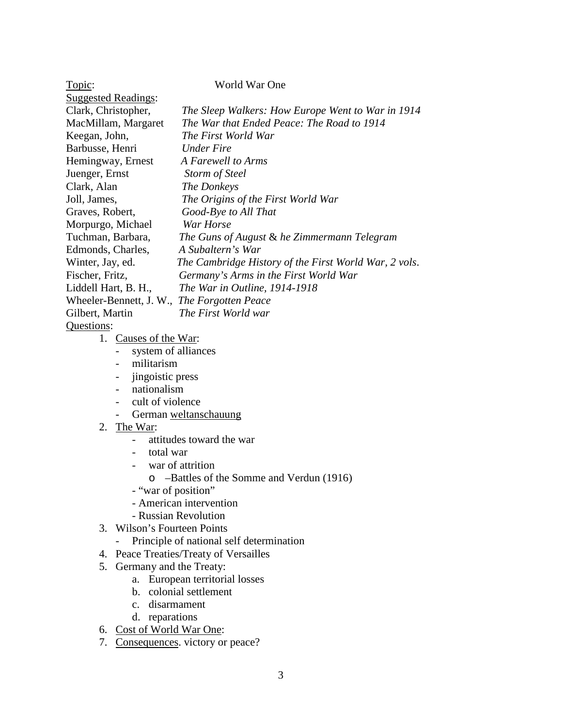| Topic:                                      | World War One                                         |
|---------------------------------------------|-------------------------------------------------------|
| <b>Suggested Readings:</b>                  |                                                       |
| Clark, Christopher,                         | The Sleep Walkers: How Europe Went to War in 1914     |
| MacMillam, Margaret                         | The War that Ended Peace: The Road to 1914            |
| Keegan, John,                               | The First World War                                   |
| Barbusse, Henri                             | <b>Under Fire</b>                                     |
| Hemingway, Ernest                           | A Farewell to Arms                                    |
| Juenger, Ernst                              | <b>Storm of Steel</b>                                 |
| Clark, Alan                                 | The Donkeys                                           |
| Joll, James,                                | The Origins of the First World War                    |
| Graves, Robert,                             | Good-Bye to All That                                  |
| Morpurgo, Michael                           | War Horse                                             |
| Tuchman, Barbara,                           | The Guns of August & he Zimmermann Telegram           |
| Edmonds, Charles,                           | A Subaltern's War                                     |
| Winter, Jay, ed.                            | The Cambridge History of the First World War, 2 vols. |
| Fischer, Fritz,                             | Germany's Arms in the First World War                 |
| Liddell Hart, B. H.,                        | The War in Outline, 1914-1918                         |
| Wheeler-Bennett, J. W., The Forgotten Peace |                                                       |
| Gilbert, Martin                             | The First World war                                   |
| Questions:                                  |                                                       |
| 1. Causes of the War:                       |                                                       |
| system of alliances                         |                                                       |

- militarism
- jingoistic press
- nationalism
- cult of violence
- German weltanschauung
- 2. The War:
	- attitudes toward the war
	- total war
	- war of attrition
		- o –Battles of the Somme and Verdun (1916)
	- "war of position"
	- American intervention
	- Russian Revolution
- 3. Wilson's Fourteen Points
	- Principle of national self determination
- 4. Peace Treaties/Treaty of Versailles
- 5. Germany and the Treaty:
	- a. European territorial losses
	- b. colonial settlement
	- c. disarmament
	- d. reparations
- 6. Cost of World War One:
- 7. Consequences. victory or peace?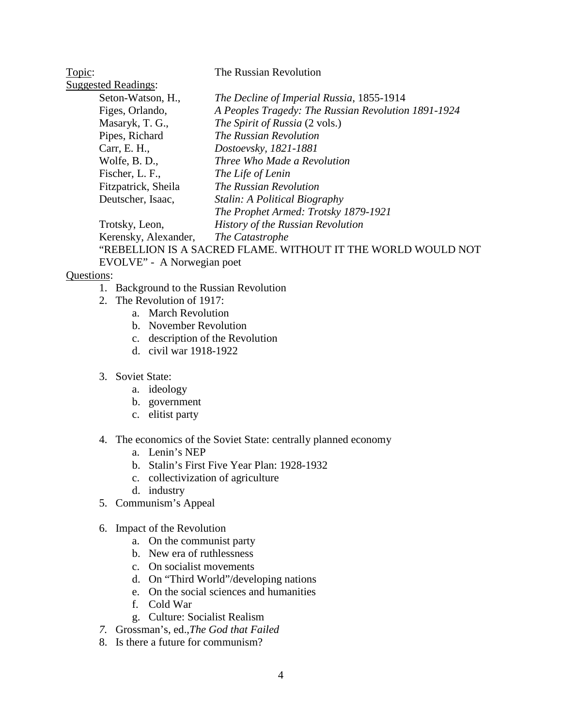| Topic: |                            | The Russian Revolution                                       |
|--------|----------------------------|--------------------------------------------------------------|
|        | <b>Suggested Readings:</b> |                                                              |
|        | Seton-Watson, H.,          | The Decline of Imperial Russia, 1855-1914                    |
|        | Figes, Orlando,            | A Peoples Tragedy: The Russian Revolution 1891-1924          |
|        | Masaryk, T. G.,            | The Spirit of Russia (2 vols.)                               |
|        | Pipes, Richard             | The Russian Revolution                                       |
|        | Carr, E. H.,               | Dostoevsky, 1821-1881                                        |
|        | Wolfe, B. D.,              | Three Who Made a Revolution                                  |
|        | Fischer, L. F.,            | The Life of Lenin                                            |
|        | Fitzpatrick, Sheila        | The Russian Revolution                                       |
|        | Deutscher, Isaac,          | Stalin: A Political Biography                                |
|        |                            | The Prophet Armed: Trotsky 1879-1921                         |
|        | Trotsky, Leon,             | History of the Russian Revolution                            |
|        | Kerensky, Alexander,       | The Catastrophe                                              |
|        |                            | "REBELLION IS A SACRED FLAME. WITHOUT IT THE WORLD WOULD NOT |
|        | EVOLVE" - A Norwegian poet |                                                              |

- 1. Background to the Russian Revolution
- 2. The Revolution of 1917:
	- a. March Revolution
	- b. November Revolution
	- c. description of the Revolution
	- d. civil war 1918-1922
- 3. Soviet State:
	- a. ideology
	- b. government
	- c. elitist party
- 4. The economics of the Soviet State: centrally planned economy
	- a. Lenin's NEP
	- b. Stalin's First Five Year Plan: 1928-1932
	- c. collectivization of agriculture
	- d. industry
- 5. Communism's Appeal
- 6. Impact of the Revolution
	- a. On the communist party
	- b. New era of ruthlessness
	- c. On socialist movements
	- d. On "Third World"/developing nations
	- e. On the social sciences and humanities
	- f. Cold War
	- g. Culture: Socialist Realism
- *7.* Grossman's, ed.,*The God that Failed*
- 8. Is there a future for communism?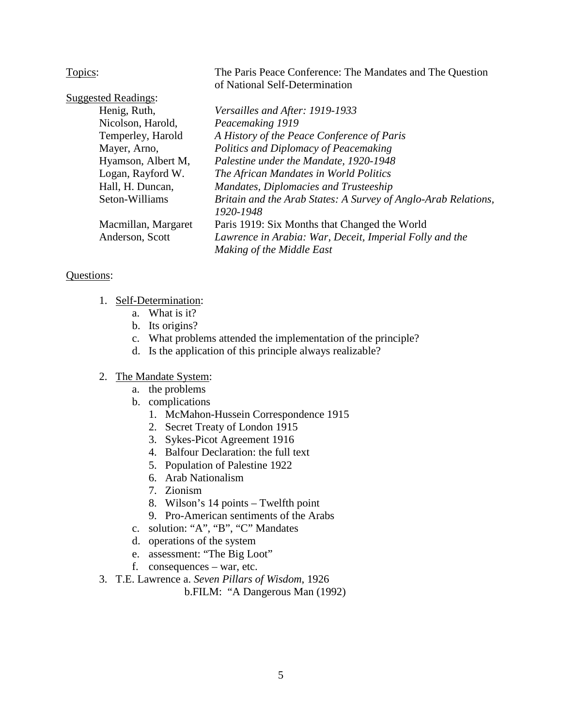Topics: The Paris Peace Conference: The Mandates and The Question of National Self-Determination

| <b>Suggested Readings:</b> |                                                                |
|----------------------------|----------------------------------------------------------------|
| Henig, Ruth,               | Versailles and After: 1919-1933                                |
| Nicolson, Harold,          | Peacemaking 1919                                               |
| Temperley, Harold          | A History of the Peace Conference of Paris                     |
| Mayer, Arno,               | Politics and Diplomacy of Peacemaking                          |
| Hyamson, Albert M,         | Palestine under the Mandate, 1920-1948                         |
| Logan, Rayford W.          | The African Mandates in World Politics                         |
| Hall, H. Duncan,           | Mandates, Diplomacies and Trusteeship                          |
| Seton-Williams             | Britain and the Arab States: A Survey of Anglo-Arab Relations, |
|                            | 1920-1948                                                      |
| Macmillan, Margaret        | Paris 1919: Six Months that Changed the World                  |
| Anderson, Scott            | Lawrence in Arabia: War, Deceit, Imperial Folly and the        |
|                            | Making of the Middle East                                      |

## Questions:

- 1. Self-Determination:
	- a. What is it?
	- b. Its origins?
	- c. What problems attended the implementation of the principle?
	- d. Is the application of this principle always realizable?

## 2. The Mandate System:

- a. the problems
- b. complications
	- 1. McMahon-Hussein Correspondence 1915
	- 2. Secret Treaty of London 1915
	- 3. Sykes-Picot Agreement 1916
	- 4. Balfour Declaration: the full text
	- 5. Population of Palestine 1922
	- 6. Arab Nationalism
	- 7. Zionism
	- 8. Wilson's 14 points Twelfth point
	- 9. Pro-American sentiments of the Arabs
- c. solution: "A", "B", "C" Mandates
- d. operations of the system
- e. assessment: "The Big Loot"
- f. consequences war, etc.
- 3. T.E. Lawrence a. *Seven Pillars of Wisdom*, 1926

b.FILM: "A Dangerous Man (1992)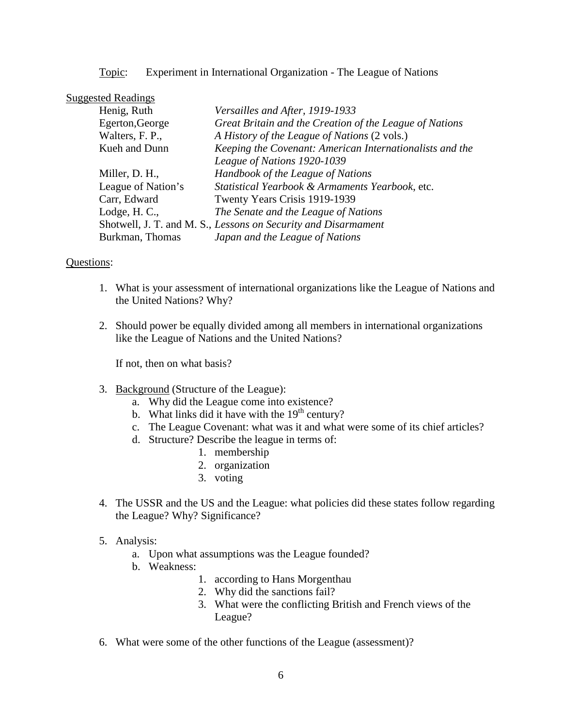Topic: Experiment in International Organization - The League of Nations

## Suggested Readings

| Henig, Ruth        | Versailles and After, 1919-1933                                |
|--------------------|----------------------------------------------------------------|
| Egerton, George    | Great Britain and the Creation of the League of Nations        |
| Walters, F. P.,    | A History of the League of Nations (2 vols.)                   |
| Kueh and Dunn      | Keeping the Covenant: American Internationalists and the       |
|                    | League of Nations 1920-1039                                    |
| Miller, D. H.,     | Handbook of the League of Nations                              |
| League of Nation's | Statistical Yearbook & Armaments Yearbook, etc.                |
| Carr, Edward       | Twenty Years Crisis 1919-1939                                  |
| Lodge, H. C.,      | The Senate and the League of Nations                           |
|                    | Shotwell, J. T. and M. S., Lessons on Security and Disarmament |
| Burkman, Thomas    | Japan and the League of Nations                                |

### Questions:

- 1. What is your assessment of international organizations like the League of Nations and the United Nations? Why?
- 2. Should power be equally divided among all members in international organizations like the League of Nations and the United Nations?

If not, then on what basis?

- 3. Background (Structure of the League):
	- a. Why did the League come into existence?
	- b. What links did it have with the  $19<sup>th</sup>$  century?
	- c. The League Covenant: what was it and what were some of its chief articles?
	- d. Structure? Describe the league in terms of:
		- 1. membership
		- 2. organization
		- 3. voting
- 4. The USSR and the US and the League: what policies did these states follow regarding the League? Why? Significance?
- 5. Analysis:
	- a. Upon what assumptions was the League founded?
	- b. Weakness:
		- 1. according to Hans Morgenthau
		- 2. Why did the sanctions fail?
		- 3. What were the conflicting British and French views of the League?
- 6. What were some of the other functions of the League (assessment)?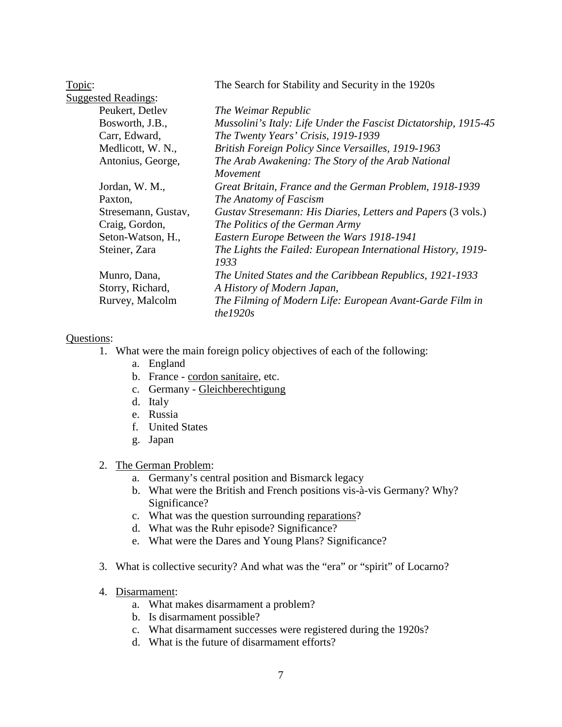| Topic: |                            | The Search for Stability and Security in the 1920s                    |
|--------|----------------------------|-----------------------------------------------------------------------|
|        | <b>Suggested Readings:</b> |                                                                       |
|        | Peukert, Detlev            | The Weimar Republic                                                   |
|        | Bosworth, J.B.,            | Mussolini's Italy: Life Under the Fascist Dictatorship, 1915-45       |
|        | Carr, Edward,              | The Twenty Years' Crisis, 1919-1939                                   |
|        | Medlicott, W. N.,          | British Foreign Policy Since Versailles, 1919-1963                    |
|        | Antonius, George,          | The Arab Awakening: The Story of the Arab National                    |
|        |                            | Movement                                                              |
|        | Jordan, W. M.,             | Great Britain, France and the German Problem, 1918-1939               |
|        | Paxton,                    | The Anatomy of Fascism                                                |
|        | Stresemann, Gustav,        | Gustav Stresemann: His Diaries, Letters and Papers (3 vols.)          |
|        | Craig, Gordon,             | The Politics of the German Army                                       |
|        | Seton-Watson, H.,          | Eastern Europe Between the Wars 1918-1941                             |
|        | Steiner, Zara              | The Lights the Failed: European International History, 1919-          |
|        |                            | 1933                                                                  |
|        | Munro, Dana,               | The United States and the Caribbean Republics, 1921-1933              |
|        | Storry, Richard,           | A History of Modern Japan,                                            |
|        | Rurvey, Malcolm            | The Filming of Modern Life: European Avant-Garde Film in<br>the 1920s |

## Questions:

- 1. What were the main foreign policy objectives of each of the following:
	- a. England
	- b. France cordon sanitaire, etc.
	- c. Germany Gleichberechtigung
	- d. Italy
	- e. Russia
	- f. United States
	- g. Japan

2. The German Problem:

- a. Germany's central position and Bismarck legacy
- b. What were the British and French positions vis-à-vis Germany? Why? Significance?
- c. What was the question surrounding reparations?
- d. What was the Ruhr episode? Significance?
- e. What were the Dares and Young Plans? Significance?
- 3. What is collective security? And what was the "era" or "spirit" of Locarno?
- 4. Disarmament:
	- a. What makes disarmament a problem?
	- b. Is disarmament possible?
	- c. What disarmament successes were registered during the 1920s?
	- d. What is the future of disarmament efforts?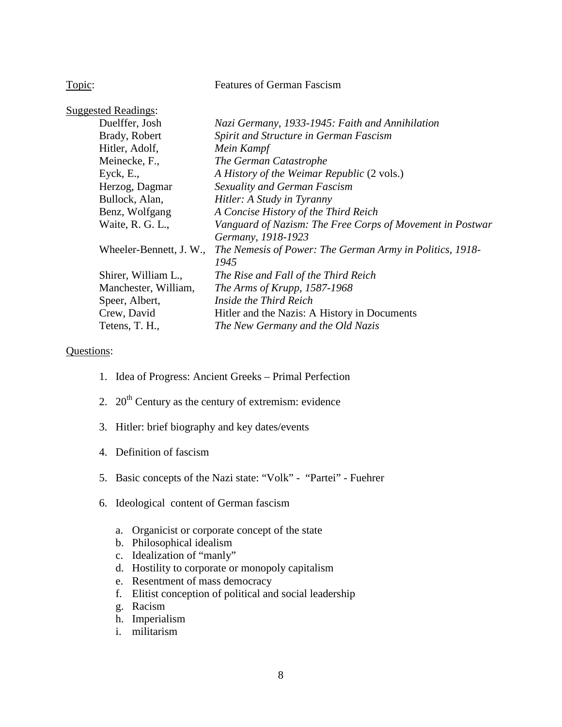Topic: Features of German Fascism

| <b>Suggested Readings:</b> |                                                           |
|----------------------------|-----------------------------------------------------------|
| Duelffer, Josh             | Nazi Germany, 1933-1945: Faith and Annihilation           |
| Brady, Robert              | Spirit and Structure in German Fascism                    |
| Hitler, Adolf,             | Mein Kampf                                                |
| Meinecke, F.,              | The German Catastrophe                                    |
| Eyck, E.,                  | A History of the Weimar Republic (2 vols.)                |
| Herzog, Dagmar             | Sexuality and German Fascism                              |
| Bullock, Alan,             | Hitler: A Study in Tyranny                                |
| Benz, Wolfgang             | A Concise History of the Third Reich                      |
| Waite, R. G. L.,           | Vanguard of Nazism: The Free Corps of Movement in Postwar |
|                            | Germany, 1918-1923                                        |
| Wheeler-Bennett, J. W.,    | The Nemesis of Power: The German Army in Politics, 1918-  |
|                            | 1945                                                      |
| Shirer, William L.,        | The Rise and Fall of the Third Reich                      |
| Manchester, William,       | The Arms of Krupp, 1587-1968                              |
| Speer, Albert,             | Inside the Third Reich                                    |
| Crew, David                | Hitler and the Nazis: A History in Documents              |
| Tetens, T. H.,             | The New Germany and the Old Nazis                         |

- 1. Idea of Progress: Ancient Greeks Primal Perfection
- 2.  $20<sup>th</sup>$  Century as the century of extremism: evidence
- 3. Hitler: brief biography and key dates/events
- 4. Definition of fascism
- 5. Basic concepts of the Nazi state: "Volk" "Partei" Fuehrer
- 6. Ideological content of German fascism
	- a. Organicist or corporate concept of the state
	- b. Philosophical idealism
	- c. Idealization of "manly"
	- d. Hostility to corporate or monopoly capitalism
	- e. Resentment of mass democracy
	- f. Elitist conception of political and social leadership
	- g. Racism
	- h. Imperialism
	- i. militarism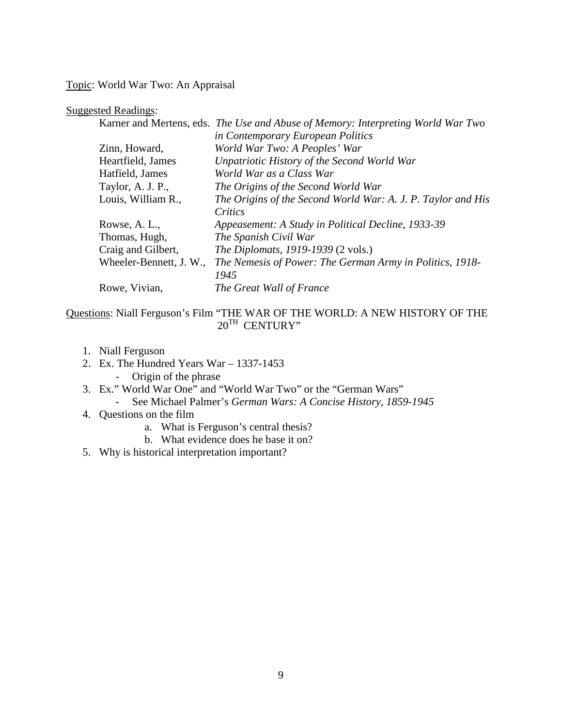Topic: World War Two: An Appraisal

### Suggested Readings:

|                         | Karner and Mertens, eds. The Use and Abuse of Memory: Interpreting World War Two |
|-------------------------|----------------------------------------------------------------------------------|
|                         | in Contemporary European Politics                                                |
| Zinn, Howard,           | World War Two: A Peoples' War                                                    |
| Heartfield, James       | Unpatriotic History of the Second World War                                      |
| Hatfield, James         | World War as a Class War                                                         |
| Taylor, A. J. P.,       | The Origins of the Second World War                                              |
| Louis, William R.,      | The Origins of the Second World War: A. J. P. Taylor and His                     |
|                         | Critics                                                                          |
| Rowse, A. L.,           | Appeasement: A Study in Political Decline, 1933-39                               |
| Thomas, Hugh,           | The Spanish Civil War                                                            |
| Craig and Gilbert,      | <i>The Diplomats, 1919-1939 (2 vols.)</i>                                        |
| Wheeler-Bennett, J. W., | The Nemesis of Power: The German Army in Politics, 1918-                         |
|                         | 1945                                                                             |
| Rowe, Vivian,           | The Great Wall of France                                                         |
|                         |                                                                                  |

# Questions: Niall Ferguson's Film "THE WAR OF THE WORLD: A NEW HISTORY OF THE  $20^{TH}$  CENTURY"

- 1. Niall Ferguson
- 2. Ex. The Hundred Years War 1337-1453 - Origin of the phrase
- 3. Ex." World War One" and "World War Two" or the "German Wars"
	- See Michael Palmer's *German Wars: A Concise History, 1859-1945*
- 4. Questions on the film
	- a. What is Ferguson's central thesis?
	- b. What evidence does he base it on?
- 5. Why is historical interpretation important?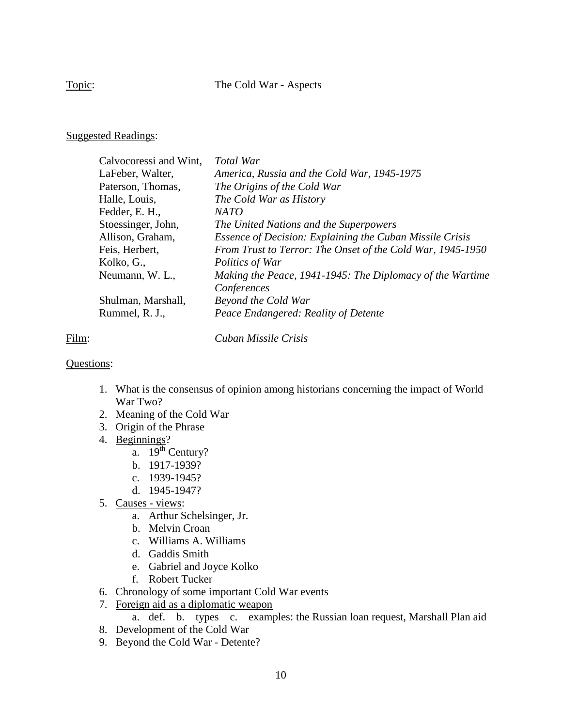Topic: The Cold War - Aspects

# Suggested Readings:

| Calvocoressi and Wint, | <b>Total War</b>                                           |
|------------------------|------------------------------------------------------------|
| LaFeber, Walter,       | America, Russia and the Cold War, 1945-1975                |
| Paterson, Thomas,      | The Origins of the Cold War                                |
| Halle, Louis,          | The Cold War as History                                    |
| Fedder, E. H.,         | <b>NATO</b>                                                |
| Stoessinger, John,     | The United Nations and the Superpowers                     |
| Allison, Graham,       | Essence of Decision: Explaining the Cuban Missile Crisis   |
| Feis, Herbert,         | From Trust to Terror: The Onset of the Cold War, 1945-1950 |
| Kolko, G.,             | Politics of War                                            |
| Neumann, W. L.,        | Making the Peace, 1941-1945: The Diplomacy of the Wartime  |
|                        | Conferences                                                |
| Shulman, Marshall,     | Beyond the Cold War                                        |
| Rummel, R. J.,         | Peace Endangered: Reality of Detente                       |
|                        |                                                            |

Film: *Cuban Missile Crisis*

- 1. What is the consensus of opinion among historians concerning the impact of World War Two?
- 2. Meaning of the Cold War
- 3. Origin of the Phrase
- 4. Beginnings?
	- $\overline{a}$ . 19<sup>th</sup> Century?
	- b. 1917-1939?
	- c. 1939-1945?
	- d. 1945-1947?
- 5. Causes views:
	- a. Arthur Schelsinger, Jr.
	- b. Melvin Croan
	- c. Williams A. Williams
	- d. Gaddis Smith
	- e. Gabriel and Joyce Kolko
	- f. Robert Tucker
- 6. Chronology of some important Cold War events
- 7. Foreign aid as a diplomatic weapon
	- a. def. b. types c. examples: the Russian loan request, Marshall Plan aid
- 8. Development of the Cold War
- 9. Beyond the Cold War Detente?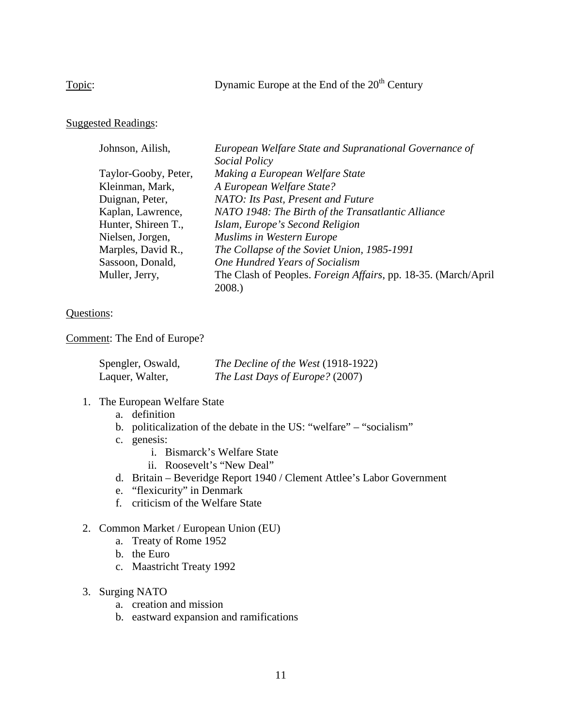Topic: Dynamic Europe at the End of the 20<sup>th</sup> Century

# Suggested Readings:

| Johnson, Ailish,     | European Welfare State and Supranational Governance of                  |
|----------------------|-------------------------------------------------------------------------|
|                      | Social Policy                                                           |
| Taylor-Gooby, Peter, | Making a European Welfare State                                         |
| Kleinman, Mark,      | A European Welfare State?                                               |
| Duignan, Peter,      | NATO: Its Past, Present and Future                                      |
| Kaplan, Lawrence,    | NATO 1948: The Birth of the Transatlantic Alliance                      |
| Hunter, Shireen T.,  | Islam, Europe's Second Religion                                         |
| Nielsen, Jorgen,     | <b>Muslims in Western Europe</b>                                        |
| Marples, David R.,   | The Collapse of the Soviet Union, 1985-1991                             |
| Sassoon, Donald,     | One Hundred Years of Socialism                                          |
| Muller, Jerry,       | The Clash of Peoples. <i>Foreign Affairs</i> , pp. 18-35. (March/April) |
|                      | 2008.)                                                                  |

# Questions:

Comment: The End of Europe?

| Spengler, Oswald, | The Decline of the West (1918-1922) |
|-------------------|-------------------------------------|
| Laquer, Walter,   | The Last Days of Europe? (2007)     |

## 1. The European Welfare State

- a. definition
- b. politicalization of the debate in the US: "welfare" "socialism"
- c. genesis:
	- i. Bismarck's Welfare State
	- ii. Roosevelt's "New Deal"
- d. Britain Beveridge Report 1940 / Clement Attlee's Labor Government
- e. "flexicurity" in Denmark
- f. criticism of the Welfare State

# 2. Common Market / European Union (EU)

- a. Treaty of Rome 1952
- b. the Euro
- c. Maastricht Treaty 1992
- 3. Surging NATO
	- a. creation and mission
	- b. eastward expansion and ramifications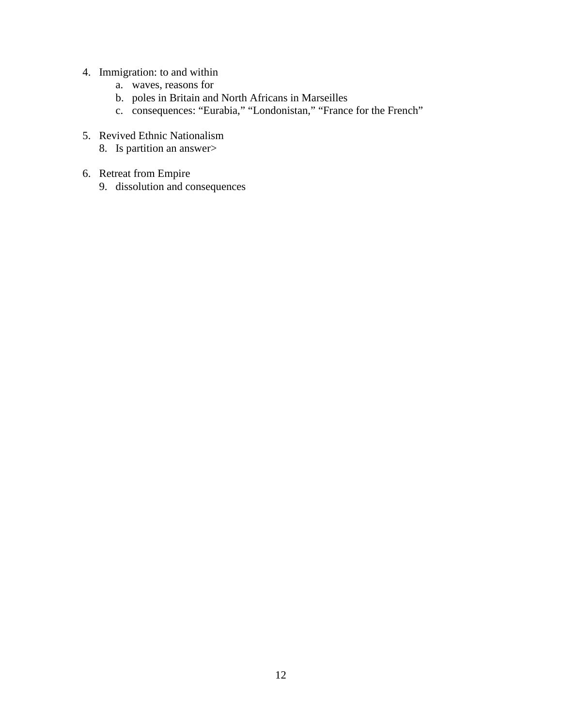- 4. Immigration: to and within
	- a. waves, reasons for
	- b. poles in Britain and North Africans in Marseilles
	- c. consequences: "Eurabia," "Londonistan," "France for the French"
- 5. Revived Ethnic Nationalism
	- 8. Is partition an answer>
- 6. Retreat from Empire
	- 9. dissolution and consequences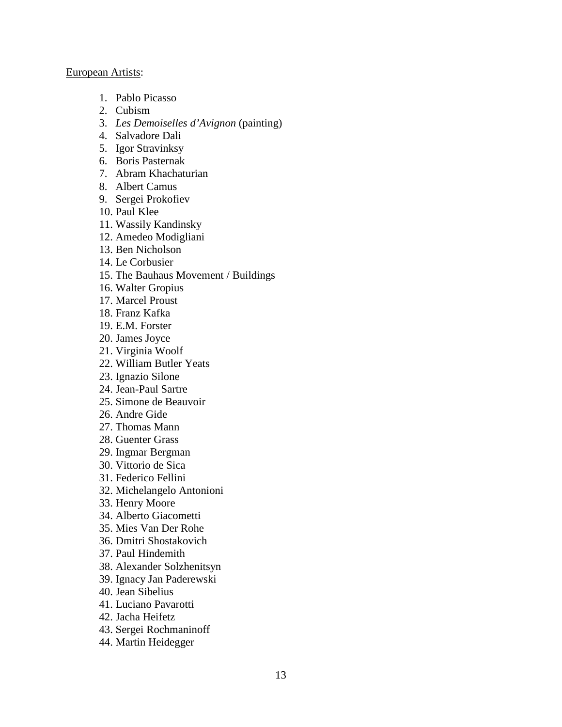#### European Artists:

- 1. Pablo Picasso
- 2. Cubism
- 3. *Les Demoiselles d'Avignon* (painting)
- 4. Salvadore Dali
- 5. Igor Stravinksy
- 6. Boris Pasternak
- 7. Abram Khachaturian
- 8. Albert Camus
- 9. Sergei Prokofiev
- 10. Paul Klee
- 11. Wassily Kandinsky
- 12. Amedeo Modigliani
- 13. Ben Nicholson
- 14. Le Corbusier
- 15. The Bauhaus Movement / Buildings
- 16. Walter Gropius
- 17. Marcel Proust
- 18. Franz Kafka
- 19. E.M. Forster
- 20. James Joyce
- 21. Virginia Woolf
- 22. William Butler Yeats
- 23. Ignazio Silone
- 24. Jean-Paul Sartre
- 25. Simone de Beauvoir
- 26. Andre Gide
- 27. Thomas Mann
- 28. Guenter Grass
- 29. Ingmar Bergman
- 30. Vittorio de Sica
- 31. Federico Fellini
- 32. Michelangelo Antonioni
- 33. Henry Moore
- 34. Alberto Giacometti
- 35. Mies Van Der Rohe
- 36. Dmitri Shostakovich
- 37. Paul Hindemith
- 38. Alexander Solzhenitsyn
- 39. Ignacy Jan Paderewski
- 40. Jean Sibelius
- 41. Luciano Pavarotti
- 42. Jacha Heifetz
- 43. Sergei Rochmaninoff
- 44. Martin Heidegger